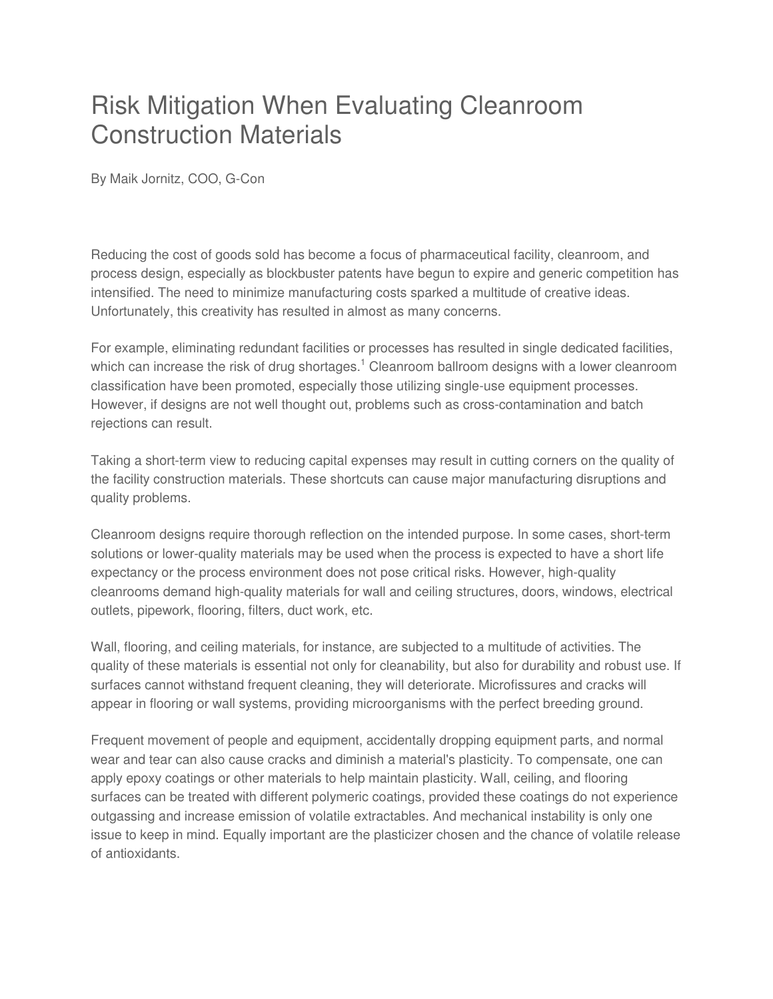## Risk Mitigation When Evaluating Cleanroom Construction Materials

By Maik Jornitz, COO, G-Con

Reducing the cost of goods sold has become a focus of pharmaceutical facility, cleanroom, and process design, especially as blockbuster patents have begun to expire and generic competition has intensified. The need to minimize manufacturing costs sparked a multitude of creative ideas. Unfortunately, this creativity has resulted in almost as many concerns.

For example, eliminating redundant facilities or processes has resulted in single dedicated facilities, which can increase the risk of drug shortages.<sup>1</sup> Cleanroom ballroom designs with a lower cleanroom classification have been promoted, especially those utilizing single-use equipment processes. However, if designs are not well thought out, problems such as cross-contamination and batch rejections can result.

Taking a short-term view to reducing capital expenses may result in cutting corners on the quality of the facility construction materials. These shortcuts can cause major manufacturing disruptions and quality problems.

Cleanroom designs require thorough reflection on the intended purpose. In some cases, short-term solutions or lower-quality materials may be used when the process is expected to have a short life expectancy or the process environment does not pose critical risks. However, high-quality cleanrooms demand high-quality materials for wall and ceiling structures, doors, windows, electrical outlets, pipework, flooring, filters, duct work, etc.

Wall, flooring, and ceiling materials, for instance, are subjected to a multitude of activities. The quality of these materials is essential not only for cleanability, but also for durability and robust use. If surfaces cannot withstand frequent cleaning, they will deteriorate. Microfissures and cracks will appear in flooring or wall systems, providing microorganisms with the perfect breeding ground.

Frequent movement of people and equipment, accidentally dropping equipment parts, and normal wear and tear can also cause cracks and diminish a material's plasticity. To compensate, one can apply epoxy coatings or other materials to help maintain plasticity. Wall, ceiling, and flooring surfaces can be treated with different polymeric coatings, provided these coatings do not experience outgassing and increase emission of volatile extractables. And mechanical instability is only one issue to keep in mind. Equally important are the plasticizer chosen and the chance of volatile release of antioxidants.